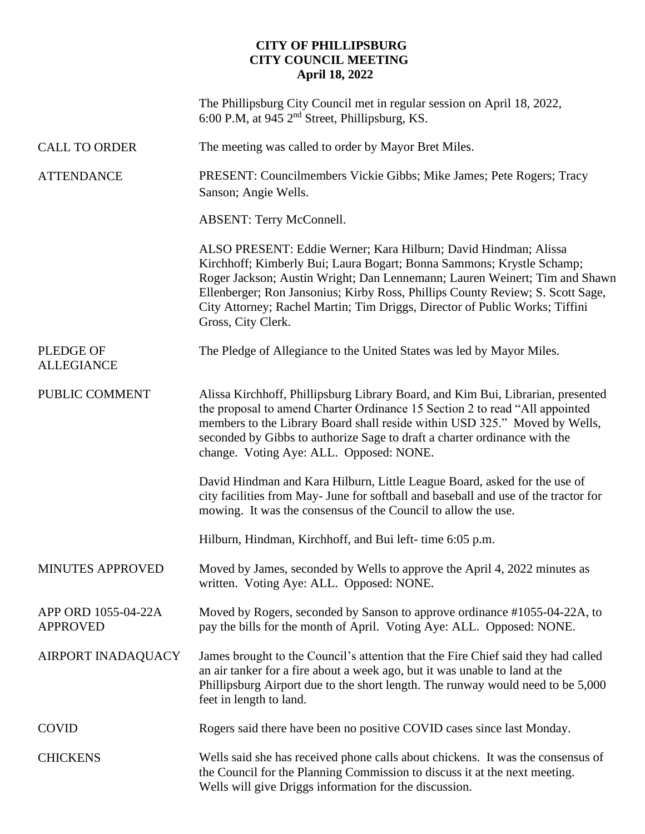## **CITY OF PHILLIPSBURG CITY COUNCIL MEETING April 18, 2022**

|                                        | The Phillipsburg City Council met in regular session on April 18, 2022,<br>6:00 P.M, at 945 $2nd$ Street, Phillipsburg, KS.                                                                                                                                                                                                                                                                                   |
|----------------------------------------|---------------------------------------------------------------------------------------------------------------------------------------------------------------------------------------------------------------------------------------------------------------------------------------------------------------------------------------------------------------------------------------------------------------|
| <b>CALL TO ORDER</b>                   | The meeting was called to order by Mayor Bret Miles.                                                                                                                                                                                                                                                                                                                                                          |
| <b>ATTENDANCE</b>                      | PRESENT: Councilmembers Vickie Gibbs; Mike James; Pete Rogers; Tracy<br>Sanson; Angie Wells.                                                                                                                                                                                                                                                                                                                  |
|                                        | <b>ABSENT: Terry McConnell.</b>                                                                                                                                                                                                                                                                                                                                                                               |
|                                        | ALSO PRESENT: Eddie Werner; Kara Hilburn; David Hindman; Alissa<br>Kirchhoff; Kimberly Bui; Laura Bogart; Bonna Sammons; Krystle Schamp;<br>Roger Jackson; Austin Wright; Dan Lennemann; Lauren Weinert; Tim and Shawn<br>Ellenberger; Ron Jansonius; Kirby Ross, Phillips County Review; S. Scott Sage,<br>City Attorney; Rachel Martin; Tim Driggs, Director of Public Works; Tiffini<br>Gross, City Clerk. |
| <b>PLEDGE OF</b><br><b>ALLEGIANCE</b>  | The Pledge of Allegiance to the United States was led by Mayor Miles.                                                                                                                                                                                                                                                                                                                                         |
| PUBLIC COMMENT                         | Alissa Kirchhoff, Phillipsburg Library Board, and Kim Bui, Librarian, presented<br>the proposal to amend Charter Ordinance 15 Section 2 to read "All appointed<br>members to the Library Board shall reside within USD 325." Moved by Wells,<br>seconded by Gibbs to authorize Sage to draft a charter ordinance with the<br>change. Voting Aye: ALL. Opposed: NONE.                                          |
|                                        | David Hindman and Kara Hilburn, Little League Board, asked for the use of<br>city facilities from May- June for softball and baseball and use of the tractor for<br>mowing. It was the consensus of the Council to allow the use.                                                                                                                                                                             |
|                                        | Hilburn, Hindman, Kirchhoff, and Bui left- time 6:05 p.m.                                                                                                                                                                                                                                                                                                                                                     |
| MINUTES APPROVED                       | Moved by James, seconded by Wells to approve the April 4, 2022 minutes as<br>written. Voting Aye: ALL. Opposed: NONE.                                                                                                                                                                                                                                                                                         |
| APP ORD 1055-04-22A<br><b>APPROVED</b> | Moved by Rogers, seconded by Sanson to approve ordinance #1055-04-22A, to<br>pay the bills for the month of April. Voting Aye: ALL. Opposed: NONE.                                                                                                                                                                                                                                                            |
| AIRPORT INADAQUACY                     | James brought to the Council's attention that the Fire Chief said they had called<br>an air tanker for a fire about a week ago, but it was unable to land at the<br>Phillipsburg Airport due to the short length. The runway would need to be 5,000<br>feet in length to land.                                                                                                                                |
| <b>COVID</b>                           | Rogers said there have been no positive COVID cases since last Monday.                                                                                                                                                                                                                                                                                                                                        |
| <b>CHICKENS</b>                        | Wells said she has received phone calls about chickens. It was the consensus of<br>the Council for the Planning Commission to discuss it at the next meeting.<br>Wells will give Driggs information for the discussion.                                                                                                                                                                                       |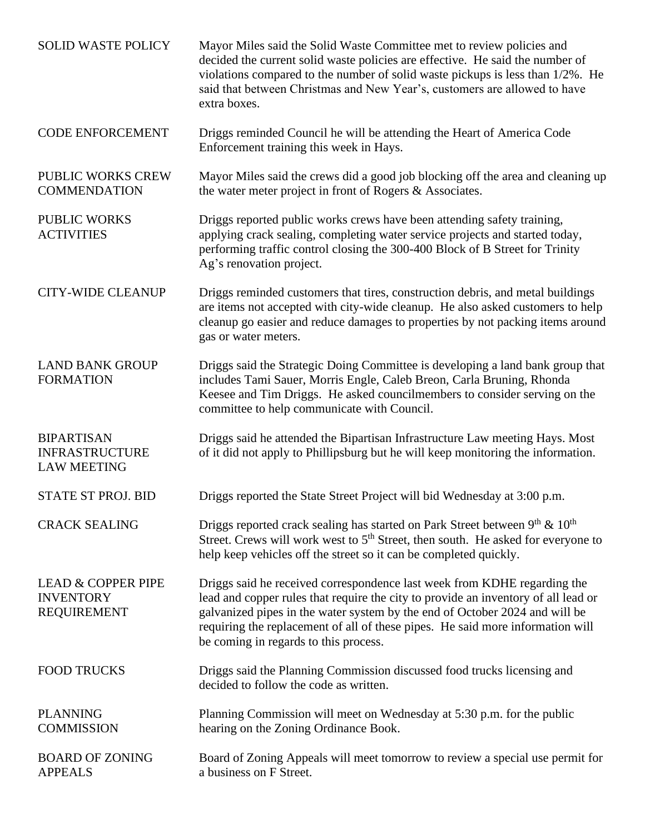| <b>SOLID WASTE POLICY</b>                                               | Mayor Miles said the Solid Waste Committee met to review policies and<br>decided the current solid waste policies are effective. He said the number of<br>violations compared to the number of solid waste pickups is less than 1/2%. He<br>said that between Christmas and New Year's, customers are allowed to have<br>extra boxes.                                    |
|-------------------------------------------------------------------------|--------------------------------------------------------------------------------------------------------------------------------------------------------------------------------------------------------------------------------------------------------------------------------------------------------------------------------------------------------------------------|
| <b>CODE ENFORCEMENT</b>                                                 | Driggs reminded Council he will be attending the Heart of America Code<br>Enforcement training this week in Hays.                                                                                                                                                                                                                                                        |
| <b>PUBLIC WORKS CREW</b><br><b>COMMENDATION</b>                         | Mayor Miles said the crews did a good job blocking off the area and cleaning up<br>the water meter project in front of Rogers $\&$ Associates.                                                                                                                                                                                                                           |
| <b>PUBLIC WORKS</b><br><b>ACTIVITIES</b>                                | Driggs reported public works crews have been attending safety training,<br>applying crack sealing, completing water service projects and started today,<br>performing traffic control closing the 300-400 Block of B Street for Trinity<br>Ag's renovation project.                                                                                                      |
| <b>CITY-WIDE CLEANUP</b>                                                | Driggs reminded customers that tires, construction debris, and metal buildings<br>are items not accepted with city-wide cleanup. He also asked customers to help<br>cleanup go easier and reduce damages to properties by not packing items around<br>gas or water meters.                                                                                               |
| <b>LAND BANK GROUP</b><br><b>FORMATION</b>                              | Driggs said the Strategic Doing Committee is developing a land bank group that<br>includes Tami Sauer, Morris Engle, Caleb Breon, Carla Bruning, Rhonda<br>Keesee and Tim Driggs. He asked councilmembers to consider serving on the<br>committee to help communicate with Council.                                                                                      |
| <b>BIPARTISAN</b><br><b>INFRASTRUCTURE</b><br><b>LAW MEETING</b>        | Driggs said he attended the Bipartisan Infrastructure Law meeting Hays. Most<br>of it did not apply to Phillipsburg but he will keep monitoring the information.                                                                                                                                                                                                         |
| <b>STATE ST PROJ. BID</b>                                               | Driggs reported the State Street Project will bid Wednesday at 3:00 p.m.                                                                                                                                                                                                                                                                                                 |
| <b>CRACK SEALING</b>                                                    | Driggs reported crack sealing has started on Park Street between $9th \& 10th$<br>Street. Crews will work west to 5 <sup>th</sup> Street, then south. He asked for everyone to<br>help keep vehicles off the street so it can be completed quickly.                                                                                                                      |
| <b>LEAD &amp; COPPER PIPE</b><br><b>INVENTORY</b><br><b>REQUIREMENT</b> | Driggs said he received correspondence last week from KDHE regarding the<br>lead and copper rules that require the city to provide an inventory of all lead or<br>galvanized pipes in the water system by the end of October 2024 and will be<br>requiring the replacement of all of these pipes. He said more information will<br>be coming in regards to this process. |
| <b>FOOD TRUCKS</b>                                                      | Driggs said the Planning Commission discussed food trucks licensing and<br>decided to follow the code as written.                                                                                                                                                                                                                                                        |
| <b>PLANNING</b><br><b>COMMISSION</b>                                    | Planning Commission will meet on Wednesday at 5:30 p.m. for the public<br>hearing on the Zoning Ordinance Book.                                                                                                                                                                                                                                                          |
| <b>BOARD OF ZONING</b><br><b>APPEALS</b>                                | Board of Zoning Appeals will meet tomorrow to review a special use permit for<br>a business on F Street.                                                                                                                                                                                                                                                                 |